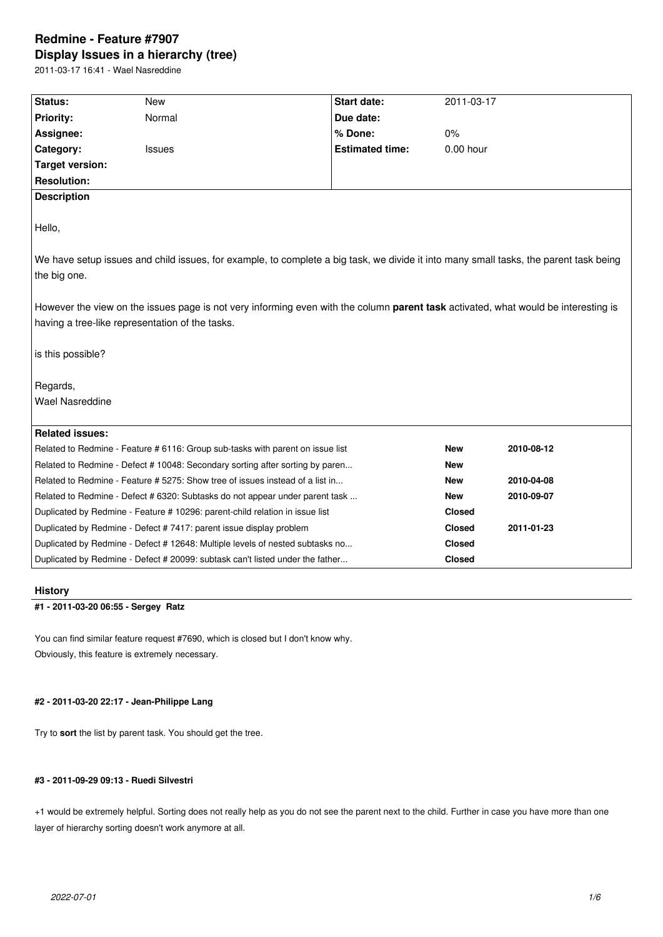# **Redmine - Feature #7907 Display Issues in a hierarchy (tree)**

2011-03-17 16:41 - Wael Nasreddine

| Status:                                                                                                                               | <b>New</b>                                                                    | Start date:            | 2011-03-17    |            |
|---------------------------------------------------------------------------------------------------------------------------------------|-------------------------------------------------------------------------------|------------------------|---------------|------------|
| <b>Priority:</b>                                                                                                                      | Normal                                                                        | Due date:              |               |            |
| Assignee:                                                                                                                             |                                                                               | % Done:                | 0%            |            |
| Category:                                                                                                                             | <b>Issues</b>                                                                 | <b>Estimated time:</b> | 0.00 hour     |            |
| <b>Target version:</b>                                                                                                                |                                                                               |                        |               |            |
| <b>Resolution:</b>                                                                                                                    |                                                                               |                        |               |            |
| <b>Description</b>                                                                                                                    |                                                                               |                        |               |            |
|                                                                                                                                       |                                                                               |                        |               |            |
| Hello,                                                                                                                                |                                                                               |                        |               |            |
|                                                                                                                                       |                                                                               |                        |               |            |
| We have setup issues and child issues, for example, to complete a big task, we divide it into many small tasks, the parent task being |                                                                               |                        |               |            |
| the big one.                                                                                                                          |                                                                               |                        |               |            |
|                                                                                                                                       |                                                                               |                        |               |            |
| However the view on the issues page is not very informing even with the column parent task activated, what would be interesting is    |                                                                               |                        |               |            |
| having a tree-like representation of the tasks.                                                                                       |                                                                               |                        |               |            |
|                                                                                                                                       |                                                                               |                        |               |            |
| is this possible?                                                                                                                     |                                                                               |                        |               |            |
|                                                                                                                                       |                                                                               |                        |               |            |
| Regards,                                                                                                                              |                                                                               |                        |               |            |
| <b>Wael Nasreddine</b>                                                                                                                |                                                                               |                        |               |            |
|                                                                                                                                       |                                                                               |                        |               |            |
| <b>Related issues:</b>                                                                                                                |                                                                               |                        |               |            |
| Related to Redmine - Feature # 6116: Group sub-tasks with parent on issue list                                                        |                                                                               | <b>New</b>             | 2010-08-12    |            |
| Related to Redmine - Defect # 10048: Secondary sorting after sorting by paren                                                         |                                                                               |                        | <b>New</b>    |            |
| Related to Redmine - Feature # 5275: Show tree of issues instead of a list in                                                         |                                                                               |                        | <b>New</b>    | 2010-04-08 |
|                                                                                                                                       | Related to Redmine - Defect # 6320: Subtasks do not appear under parent task  |                        | <b>New</b>    | 2010-09-07 |
| Duplicated by Redmine - Feature # 10296: parent-child relation in issue list                                                          |                                                                               |                        | <b>Closed</b> |            |
| Duplicated by Redmine - Defect #7417: parent issue display problem                                                                    |                                                                               | <b>Closed</b>          | 2011-01-23    |            |
|                                                                                                                                       | Duplicated by Redmine - Defect # 12648: Multiple levels of nested subtasks no |                        | <b>Closed</b> |            |
| Duplicated by Redmine - Defect # 20099: subtask can't listed under the father                                                         |                                                                               |                        | <b>Closed</b> |            |

### **History**

# **#1 - 2011-03-20 06:55 - Sergey Ratz**

You can find similar feature request #7690, which is closed but I don't know why. Obviously, this feature is extremely necessary.

# **#2 - 2011-03-20 22:17 - Jean-Philippe Lang**

Try to **sort** the list by parent task. You should get the tree.

# **#3 - 2011-09-29 09:13 - Ruedi Silvestri**

+1 would be extremely helpful. Sorting does not really help as you do not see the parent next to the child. Further in case you have more than one layer of hierarchy sorting doesn't work anymore at all.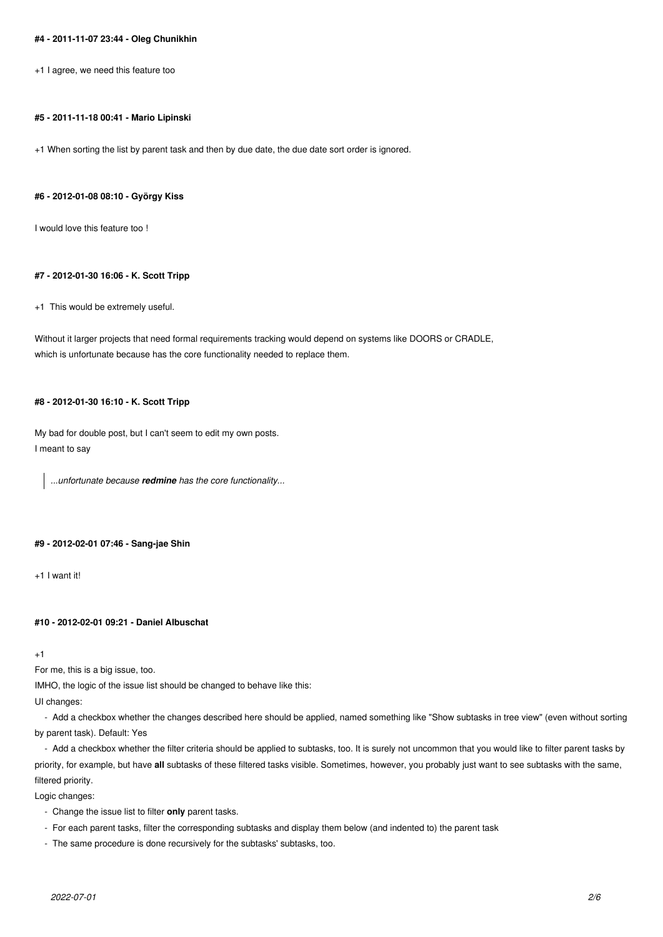#### **#4 - 2011-11-07 23:44 - Oleg Chunikhin**

+1 I agree, we need this feature too

#### **#5 - 2011-11-18 00:41 - Mario Lipinski**

+1 When sorting the list by parent task and then by due date, the due date sort order is ignored.

#### **#6 - 2012-01-08 08:10 - György Kiss**

I would love this feature too !

# **#7 - 2012-01-30 16:06 - K. Scott Tripp**

+1 This would be extremely useful.

Without it larger projects that need formal requirements tracking would depend on systems like DOORS or CRADLE, which is unfortunate because has the core functionality needed to replace them.

### **#8 - 2012-01-30 16:10 - K. Scott Tripp**

My bad for double post, but I can't seem to edit my own posts. I meant to say

*...unfortunate because redmine has the core functionality...*

#### **#9 - 2012-02-01 07:46 - Sang-jae Shin**

+1 I want it!

#### **#10 - 2012-02-01 09:21 - Daniel Albuschat**

 $+1$ 

For me, this is a big issue, too.

IMHO, the logic of the issue list should be changed to behave like this:

UI changes:

 - Add a checkbox whether the changes described here should be applied, named something like "Show subtasks in tree view" (even without sorting by parent task). Default: Yes

 - Add a checkbox whether the filter criteria should be applied to subtasks, too. It is surely not uncommon that you would like to filter parent tasks by priority, for example, but have **all** subtasks of these filtered tasks visible. Sometimes, however, you probably just want to see subtasks with the same, filtered priority.

Logic changes:

- Change the issue list to filter **only** parent tasks.
- For each parent tasks, filter the corresponding subtasks and display them below (and indented to) the parent task
- The same procedure is done recursively for the subtasks' subtasks, too.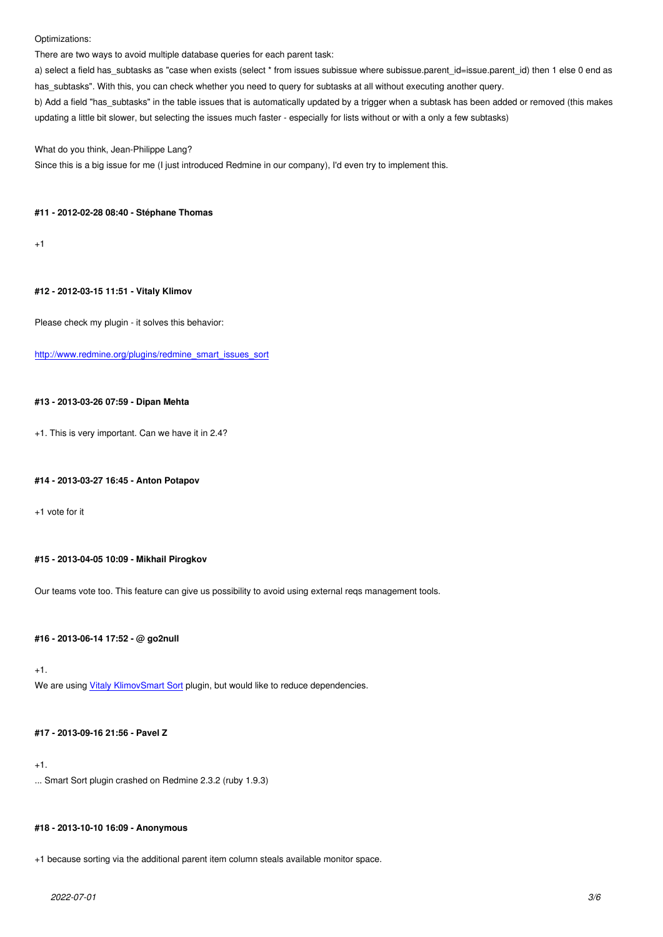There are two ways to avoid multiple database queries for each parent task:

a) select a field has\_subtasks as "case when exists (select \* from issues subissue where subissue.parent\_id=issue.parent\_id) then 1 else 0 end as

has\_subtasks". With this, you can check whether you need to query for subtasks at all without executing another query.

b) Add a field "has\_subtasks" in the table issues that is automatically updated by a trigger when a subtask has been added or removed (this makes updating a little bit slower, but selecting the issues much faster - especially for lists without or with a only a few subtasks)

What do you think, Jean-Philippe Lang?

Since this is a big issue for me (I just introduced Redmine in our company), I'd even try to implement this.

#### **#11 - 2012-02-28 08:40 - Stéphane Thomas**

+1

#### **#12 - 2012-03-15 11:51 - Vitaly Klimov**

Please check my plugin - it solves this behavior:

http://www.redmine.org/plugins/redmine\_smart\_issues\_sort

#### **[#13 - 2013-03-26 07:59 - Dipan Mehta](http://www.redmine.org/plugins/redmine_smart_issues_sort)**

+1. This is very important. Can we have it in 2.4?

#### **#14 - 2013-03-27 16:45 - Anton Potapov**

+1 vote for it

#### **#15 - 2013-04-05 10:09 - Mikhail Pirogkov**

Our teams vote too. This feature can give us possibility to avoid using external reqs management tools.

#### **#16 - 2013-06-14 17:52 - @ go2null**

 $+1.$ 

We are using Vitaly KlimovSmart Sort plugin, but would like to reduce dependencies.

# **#17 - 2013-09[-16 21:56 - P](/users/6870)[avel Z](/plugins/redmine_smart_issues_sort)**

# +1.

... Smart Sort plugin crashed on Redmine 2.3.2 (ruby 1.9.3)

#### **#18 - 2013-10-10 16:09 - Anonymous**

+1 because sorting via the additional parent item column steals available monitor space.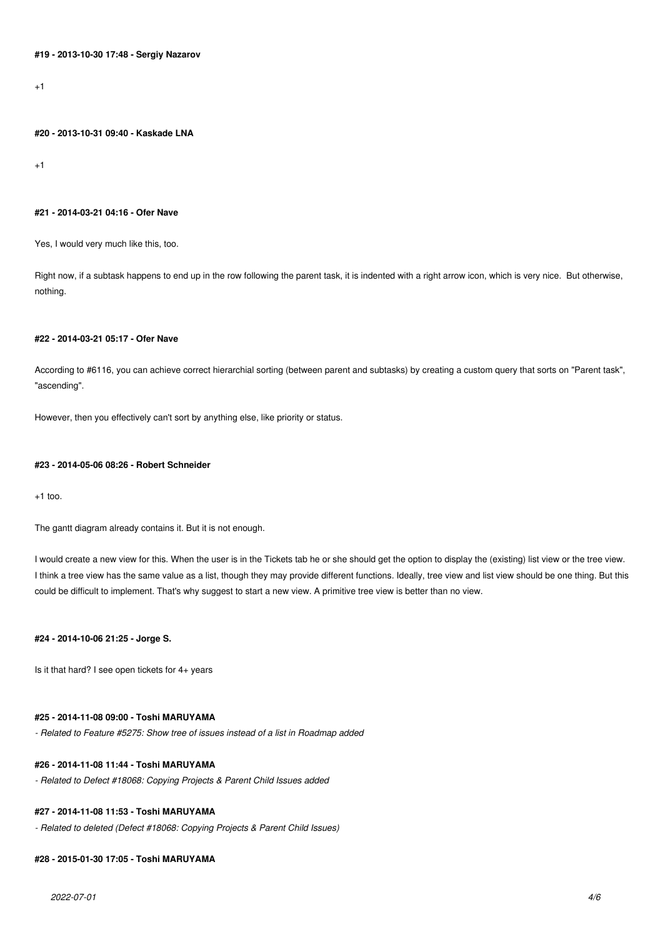$+1$ 

#### **#20 - 2013-10-31 09:40 - Kaskade LNA**

 $+1$ 

#### **#21 - 2014-03-21 04:16 - Ofer Nave**

Yes, I would very much like this, too.

Right now, if a subtask happens to end up in the row following the parent task, it is indented with a right arrow icon, which is very nice. But otherwise, nothing.

# **#22 - 2014-03-21 05:17 - Ofer Nave**

According to #6116, you can achieve correct hierarchial sorting (between parent and subtasks) by creating a custom query that sorts on "Parent task", "ascending".

However, then you effectively can't sort by anything else, like priority or status.

#### **#23 - 2014-05-06 08:26 - Robert Schneider**

 $+1$  too.

The gantt diagram already contains it. But it is not enough.

I would create a new view for this. When the user is in the Tickets tab he or she should get the option to display the (existing) list view or the tree view. I think a tree view has the same value as a list, though they may provide different functions. Ideally, tree view and list view should be one thing. But this could be difficult to implement. That's why suggest to start a new view. A primitive tree view is better than no view.

### **#24 - 2014-10-06 21:25 - Jorge S.**

Is it that hard? I see open tickets for 4+ years

# **#25 - 2014-11-08 09:00 - Toshi MARUYAMA**

*- Related to Feature #5275: Show tree of issues instead of a list in Roadmap added*

# **#26 - 2014-11-08 11:44 - Toshi MARUYAMA**

*- Related to Defect #18068: Copying Projects & Parent Child Issues added*

# **#27 - 2014-11-08 11:53 - Toshi MARUYAMA**

*- Related to deleted (Defect #18068: Copying Projects & Parent Child Issues)*

# **#28 - 2015-01-30 17:05 - Toshi MARUYAMA**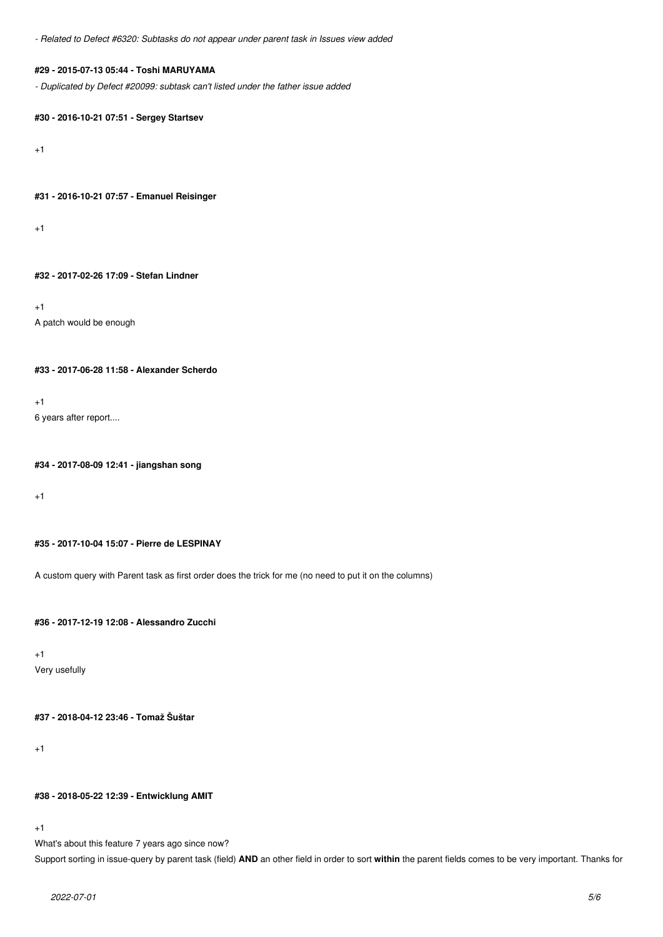*- Related to Defect #6320: Subtasks do not appear under parent task in Issues view added*

# **#29 - 2015-07-13 05:44 - Toshi MARUYAMA**

*- Duplicated by Defect #20099: subtask can't listed under the father issue added*

#### **#30 - 2016-10-21 07:51 - Sergey Startsev**

+1

**#31 - 2016-10-21 07:57 - Emanuel Reisinger**

+1

#### **#32 - 2017-02-26 17:09 - Stefan Lindner**

 $+1$ A patch would be enough

**#33 - 2017-06-28 11:58 - Alexander Scherdo**

+1

6 years after report....

#### **#34 - 2017-08-09 12:41 - jiangshan song**

+1

# **#35 - 2017-10-04 15:07 - Pierre de LESPINAY**

A custom query with Parent task as first order does the trick for me (no need to put it on the columns)

### **#36 - 2017-12-19 12:08 - Alessandro Zucchi**

+1

Very usefully

**#37 - 2018-04-12 23:46 - Tomaž Šuštar**

+1

# **#38 - 2018-05-22 12:39 - Entwicklung AMIT**

+1

What's about this feature 7 years ago since now?

Support sorting in issue-query by parent task (field) **AND** an other field in order to sort **within** the parent fields comes to be very important. Thanks for